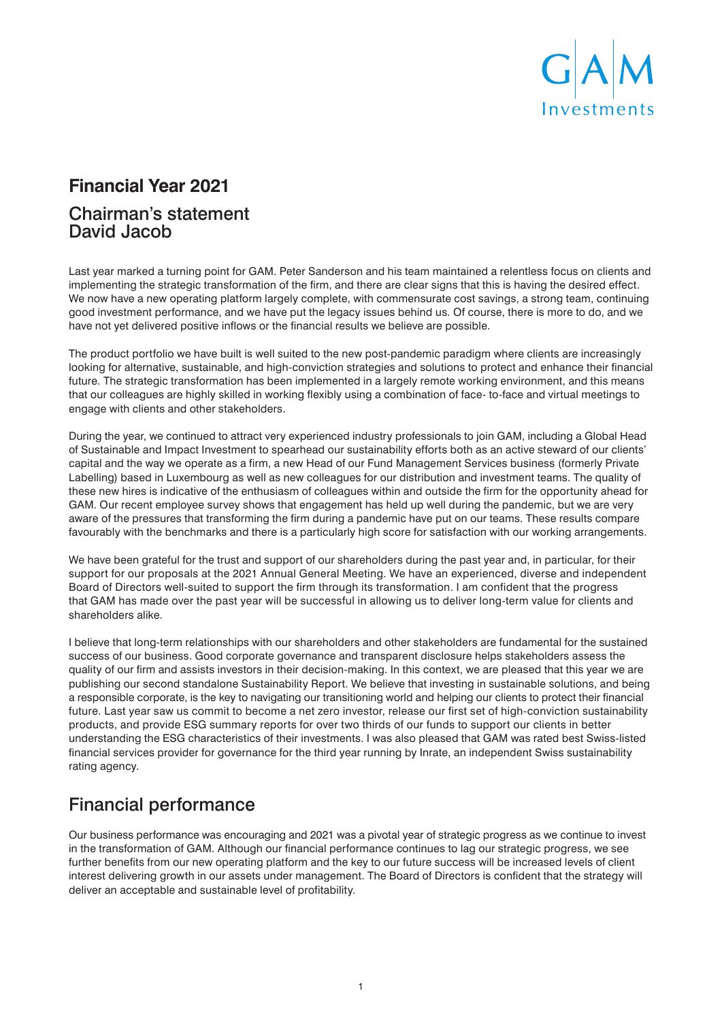

# **Financial Year 2021**

#### Chairman's statement David Jacob

Last year marked a turning point for GAM. Peter Sanderson and his team maintained a relentless focus on clients and implementing the strategic transformation of the firm, and there are clear signs that this is having the desired effect. We now have a new operating platform largely complete, with commensurate cost savings, a strong team, continuing good investment performance, and we have put the legacy issues behind us. Of course, there is more to do, and we have not yet delivered positive inflows or the financial results we believe are possible.

The product portfolio we have built is well suited to the new post-pandemic paradigm where clients are increasingly looking for alternative, sustainable, and high-conviction strategies and solutions to protect and enhance their financial future. The strategic transformation has been implemented in a largely remote working environment, and this means that our colleagues are highly skilled in working flexibly using a combination of face- to-face and virtual meetings to engage with clients and other stakeholders.

During the year, we continued to attract very experienced industry professionals to join GAM, including a Global Head of Sustainable and Impact Investment to spearhead our sustainability efforts both as an active steward of our clients' capital and the way we operate as a firm, a new Head of our Fund Management Services business (formerly Private Labelling) based in Luxembourg as well as new colleagues for our distribution and investment teams. The quality of these new hires is indicative of the enthusiasm of colleagues within and outside the firm for the opportunity ahead for GAM. Our recent employee survey shows that engagement has held up well during the pandemic, but we are very aware of the pressures that transforming the firm during a pandemic have put on our teams. These results compare favourably with the benchmarks and there is a particularly high score for satisfaction with our working arrangements.

We have been grateful for the trust and support of our shareholders during the past year and, in particular, for their support for our proposals at the 2021 Annual General Meeting. We have an experienced, diverse and independent Board of Directors well-suited to support the firm through its transformation. I am confident that the progress that GAM has made over the past year will be successful in allowing us to deliver long-term value for clients and shareholders alike.

I believe that long-term relationships with our shareholders and other stakeholders are fundamental for the sustained success of our business. Good corporate governance and transparent disclosure helps stakeholders assess the quality of our firm and assists investors in their decision-making. In this context, we are pleased that this year we are publishing our second standalone Sustainability Report. We believe that investing in sustainable solutions, and being a responsible corporate, is the key to navigating our transitioning world and helping our clients to protect their financial future. Last year saw us commit to become a net zero investor, release our first set of high-conviction sustainability products, and provide ESG summary reports for over two thirds of our funds to support our clients in better understanding the ESG characteristics of their investments. I was also pleased that GAM was rated best Swiss-listed financial services provider for governance for the third year running by Inrate, an independent Swiss sustainability rating agency.

# Financial performance

Our business performance was encouraging and 2021 was a pivotal year of strategic progress as we continue to invest in the transformation of GAM. Although our financial performance continues to lag our strategic progress, we see further benefits from our new operating platform and the key to our future success will be increased levels of client interest delivering growth in our assets under management. The Board of Directors is confident that the strategy will deliver an acceptable and sustainable level of profitability.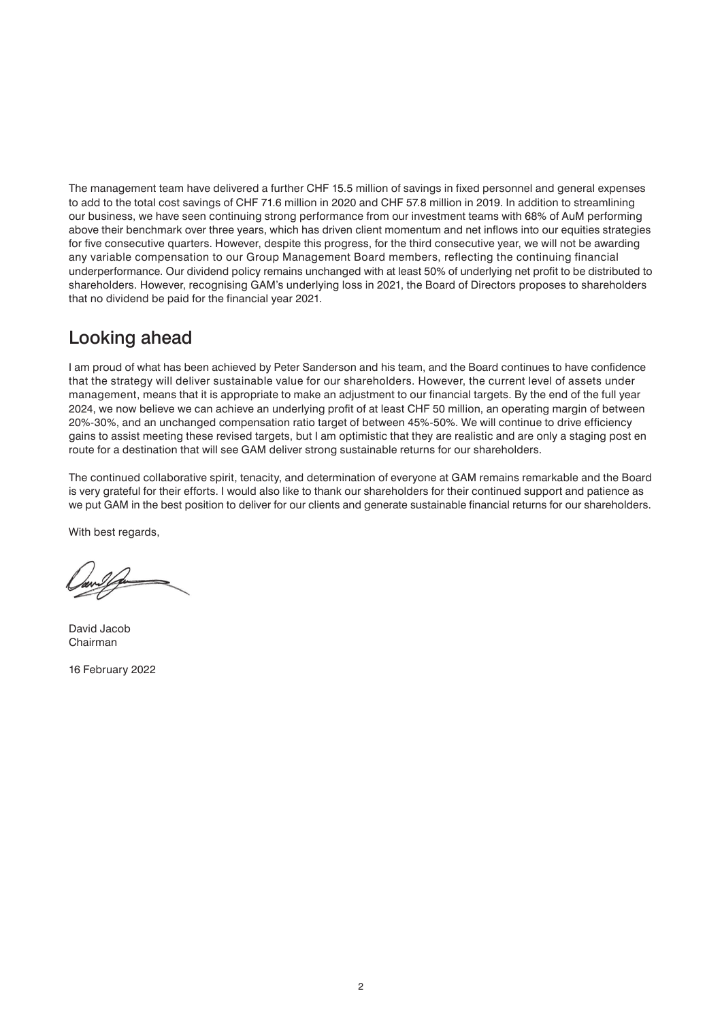The management team have delivered a further CHF 15.5 million of savings in fixed personnel and general expenses to add to the total cost savings of CHF 71.6 million in 2020 and CHF 57.8 million in 2019. In addition to streamlining our business, we have seen continuing strong performance from our investment teams with 68% of AuM performing above their benchmark over three years, which has driven client momentum and net inflows into our equities strategies for five consecutive quarters. However, despite this progress, for the third consecutive year, we will not be awarding any variable compensation to our Group Management Board members, reflecting the continuing financial underperformance. Our dividend policy remains unchanged with at least 50% of underlying net profit to be distributed to shareholders. However, recognising GAM's underlying loss in 2021, the Board of Directors proposes to shareholders that no dividend be paid for the financial year 2021.

#### Looking ahead

I am proud of what has been achieved by Peter Sanderson and his team, and the Board continues to have confidence that the strategy will deliver sustainable value for our shareholders. However, the current level of assets under management, means that it is appropriate to make an adjustment to our financial targets. By the end of the full year 2024, we now believe we can achieve an underlying profit of at least CHF 50 million, an operating margin of between 20%-30%, and an unchanged compensation ratio target of between 45%-50%. We will continue to drive efficiency gains to assist meeting these revised targets, but I am optimistic that they are realistic and are only a staging post en route for a destination that will see GAM deliver strong sustainable returns for our shareholders.

The continued collaborative spirit, tenacity, and determination of everyone at GAM remains remarkable and the Board is very grateful for their efforts. I would also like to thank our shareholders for their continued support and patience as we put GAM in the best position to deliver for our clients and generate sustainable financial returns for our shareholders.

With best regards,

David Jacob Chairman

16 February 2022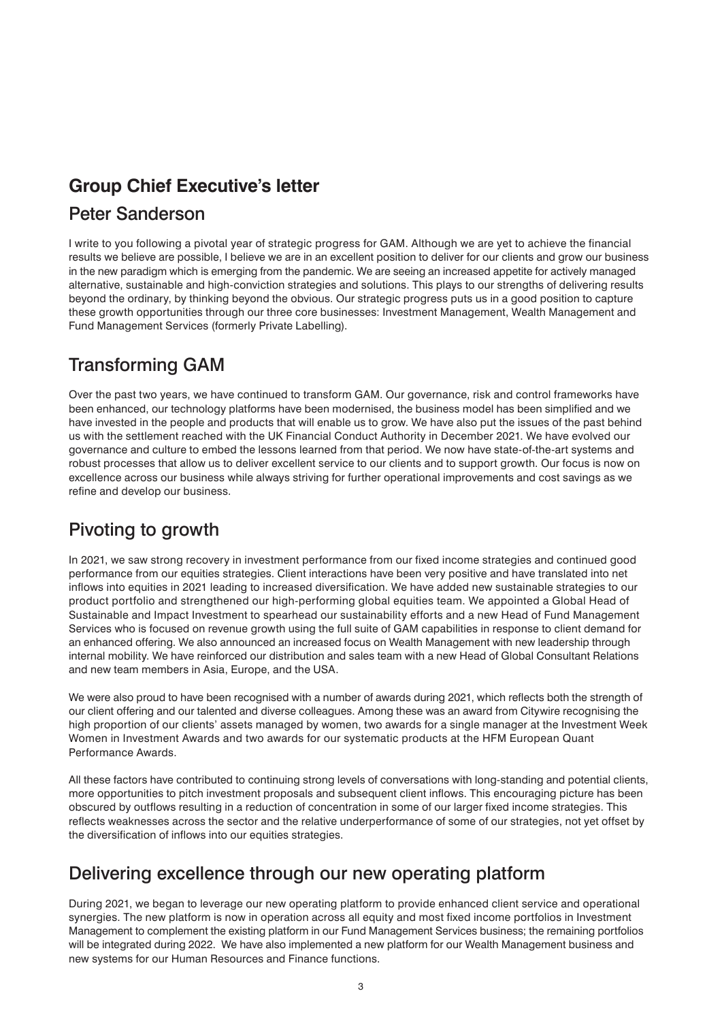## **Group Chief Executive's letter**

#### Peter Sanderson

I write to you following a pivotal year of strategic progress for GAM. Although we are yet to achieve the financial results we believe are possible, I believe we are in an excellent position to deliver for our clients and grow our business in the new paradigm which is emerging from the pandemic. We are seeing an increased appetite for actively managed alternative, sustainable and high-conviction strategies and solutions. This plays to our strengths of delivering results beyond the ordinary, by thinking beyond the obvious. Our strategic progress puts us in a good position to capture these growth opportunities through our three core businesses: Investment Management, Wealth Management and Fund Management Services (formerly Private Labelling).

# Transforming GAM

Over the past two years, we have continued to transform GAM. Our governance, risk and control frameworks have been enhanced, our technology platforms have been modernised, the business model has been simplified and we have invested in the people and products that will enable us to grow. We have also put the issues of the past behind us with the settlement reached with the UK Financial Conduct Authority in December 2021. We have evolved our governance and culture to embed the lessons learned from that period. We now have state-of-the-art systems and robust processes that allow us to deliver excellent service to our clients and to support growth. Our focus is now on excellence across our business while always striving for further operational improvements and cost savings as we refine and develop our business.

### Pivoting to growth

In 2021, we saw strong recovery in investment performance from our fixed income strategies and continued good performance from our equities strategies. Client interactions have been very positive and have translated into net inflows into equities in 2021 leading to increased diversification. We have added new sustainable strategies to our product portfolio and strengthened our high-performing global equities team. We appointed a Global Head of Sustainable and Impact Investment to spearhead our sustainability efforts and a new Head of Fund Management Services who is focused on revenue growth using the full suite of GAM capabilities in response to client demand for an enhanced offering. We also announced an increased focus on Wealth Management with new leadership through internal mobility. We have reinforced our distribution and sales team with a new Head of Global Consultant Relations and new team members in Asia, Europe, and the USA.

We were also proud to have been recognised with a number of awards during 2021, which reflects both the strength of our client offering and our talented and diverse colleagues. Among these was an award from Citywire recognising the high proportion of our clients' assets managed by women, two awards for a single manager at the Investment Week Women in Investment Awards and two awards for our systematic products at the HFM European Quant Performance Awards.

All these factors have contributed to continuing strong levels of conversations with long-standing and potential clients, more opportunities to pitch investment proposals and subsequent client inflows. This encouraging picture has been obscured by outflows resulting in a reduction of concentration in some of our larger fixed income strategies. This reflects weaknesses across the sector and the relative underperformance of some of our strategies, not yet offset by the diversification of inflows into our equities strategies.

# Delivering excellence through our new operating platform

During 2021, we began to leverage our new operating platform to provide enhanced client service and operational synergies. The new platform is now in operation across all equity and most fixed income portfolios in Investment Management to complement the existing platform in our Fund Management Services business; the remaining portfolios will be integrated during 2022. We have also implemented a new platform for our Wealth Management business and new systems for our Human Resources and Finance functions.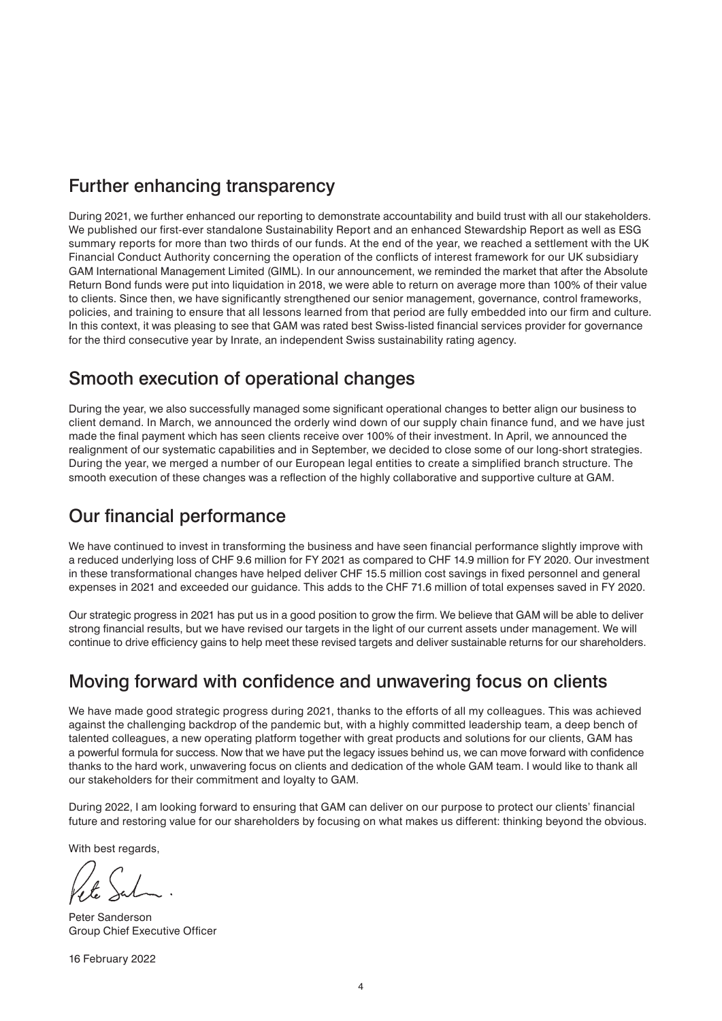#### Further enhancing transparency

During 2021, we further enhanced our reporting to demonstrate accountability and build trust with all our stakeholders. We published our first-ever standalone Sustainability Report and an enhanced Stewardship Report as well as ESG summary reports for more than two thirds of our funds. At the end of the year, we reached a settlement with the UK Financial Conduct Authority concerning the operation of the conflicts of interest framework for our UK subsidiary GAM International Management Limited (GIML). In our announcement, we reminded the market that after the Absolute Return Bond funds were put into liquidation in 2018, we were able to return on average more than 100% of their value to clients. Since then, we have significantly strengthened our senior management, governance, control frameworks, policies, and training to ensure that all lessons learned from that period are fully embedded into our firm and culture. In this context, it was pleasing to see that GAM was rated best Swiss-listed financial services provider for governance for the third consecutive year by Inrate, an independent Swiss sustainability rating agency.

#### Smooth execution of operational changes

During the year, we also successfully managed some significant operational changes to better align our business to client demand. In March, we announced the orderly wind down of our supply chain finance fund, and we have just made the final payment which has seen clients receive over 100% of their investment. In April, we announced the realignment of our systematic capabilities and in September, we decided to close some of our long-short strategies. During the year, we merged a number of our European legal entities to create a simplified branch structure. The smooth execution of these changes was a reflection of the highly collaborative and supportive culture at GAM.

#### Our financial performance

We have continued to invest in transforming the business and have seen financial performance slightly improve with a reduced underlying loss of CHF 9.6 million for FY 2021 as compared to CHF 14.9 million for FY 2020. Our investment in these transformational changes have helped deliver CHF 15.5 million cost savings in fixed personnel and general expenses in 2021 and exceeded our guidance. This adds to the CHF 71.6 million of total expenses saved in FY 2020.

Our strategic progress in 2021 has put us in a good position to grow the firm. We believe that GAM will be able to deliver strong financial results, but we have revised our targets in the light of our current assets under management. We will continue to drive efficiency gains to help meet these revised targets and deliver sustainable returns for our shareholders.

#### Moving forward with confidence and unwavering focus on clients

We have made good strategic progress during 2021, thanks to the efforts of all my colleagues. This was achieved against the challenging backdrop of the pandemic but, with a highly committed leadership team, a deep bench of talented colleagues, a new operating platform together with great products and solutions for our clients, GAM has a powerful formula for success. Now that we have put the legacy issues behind us, we can move forward with confidence thanks to the hard work, unwavering focus on clients and dedication of the whole GAM team. I would like to thank all our stakeholders for their commitment and loyalty to GAM.

During 2022, I am looking forward to ensuring that GAM can deliver on our purpose to protect our clients' financial future and restoring value for our shareholders by focusing on what makes us different: thinking beyond the obvious.

With best regards,

Peter Sanderson Group Chief Executive Officer

16 February 2022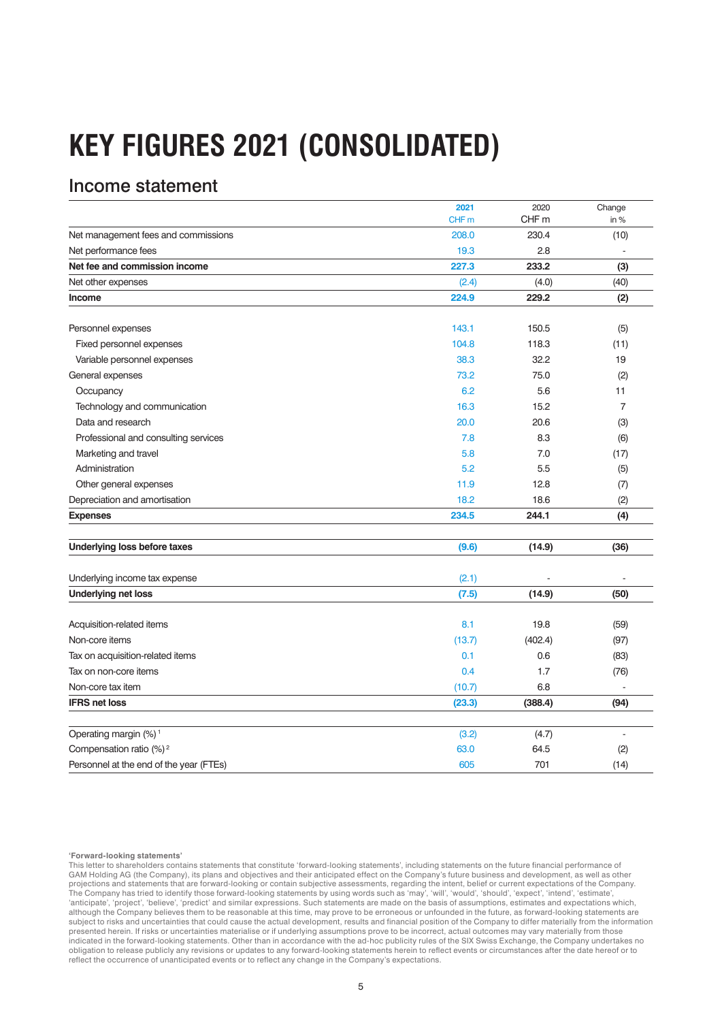# **KEY FIGURES 2021 (CONSOLIDATED)**

#### Income statement

|                                         | 2021             | 2020             | Change         |
|-----------------------------------------|------------------|------------------|----------------|
|                                         | CHF <sub>m</sub> | CHF <sub>m</sub> | in %           |
| Net management fees and commissions     | 208.0            | 230.4            | (10)           |
| Net performance fees                    | 19.3             | 2.8              |                |
| Net fee and commission income           | 227.3            | 233.2            | (3)            |
| Net other expenses                      | (2.4)            | (4.0)            | (40)           |
| Income                                  | 224.9            | 229.2            | (2)            |
|                                         |                  |                  |                |
| Personnel expenses                      | 143.1            | 150.5            | (5)            |
| Fixed personnel expenses                | 104.8            | 118.3            | (11)           |
| Variable personnel expenses             | 38.3             | 32.2             | 19             |
| General expenses                        | 73.2             | 75.0             | (2)            |
| Occupancy                               | 6.2              | 5.6              | 11             |
| Technology and communication            | 16.3             | 15.2             | $\overline{7}$ |
| Data and research                       | 20.0             | 20.6             | (3)            |
| Professional and consulting services    | 7.8              | 8.3              | (6)            |
| Marketing and travel                    | 5.8              | 7.0              | (17)           |
| Administration                          | 5.2              | 5.5              | (5)            |
| Other general expenses                  | 11.9             | 12.8             | (7)            |
| Depreciation and amortisation           | 18.2             | 18.6             | (2)            |
| <b>Expenses</b>                         | 234.5            | 244.1            | (4)            |
|                                         |                  |                  |                |
| Underlying loss before taxes            | (9.6)            | (14.9)           | (36)           |
| Underlying income tax expense           | (2.1)            |                  |                |
| <b>Underlying net loss</b>              | (7.5)            | (14.9)           | (50)           |
|                                         |                  |                  |                |
| Acquisition-related items               | 8.1              | 19.8             | (59)           |
| Non-core items                          | (13.7)           | (402.4)          | (97)           |
| Tax on acquisition-related items        | 0.1              | 0.6              | (83)           |
| Tax on non-core items                   | 0.4              | 1.7              | (76)           |
| Non-core tax item                       | (10.7)           | 6.8              |                |
| <b>IFRS net loss</b>                    | (23.3)           | (388.4)          | (94)           |
|                                         |                  |                  |                |
| Operating margin (%) <sup>1</sup>       | (3.2)            | (4.7)            |                |
| Compensation ratio (%) <sup>2</sup>     | 63.0             | 64.5             | (2)            |
| Personnel at the end of the year (FTEs) | 605              | 701              | (14)           |

#### **'Forward-looking statements'**

This letter to shareholders contains statements that constitute 'forward-looking statements', including statements on the future financial performance of<br>GAM Holding AG (the Company), its plans and objectives and their ant projections and statements that are forward-looking or contain subjective assessments, regarding the intent, belief or current expectations of the Company. The Company has tried to identify those forward-looking statements by using words such as 'may', 'will', 'would', 'should', 'expect', 'intend', 'estimate',<br>'anticipate', 'project', 'believe', 'predict' and similar expressi although the Company believes them to be reasonable at this time, may prove to be erroneous or unfounded in the future, as forward-looking statements are subject to risks and uncertainties that could cause the actual development, results and financial position of the Company to differ materially from the information presented herein. If risks or uncertainties materialise or if underlying assumptions prove to be incorrect, actual outcomes may vary materially from those indicated in the forward-looking statements. Other than in accordance with the ad-hoc publicity rules of the SIX Swiss Exchange, the Company undertakes no<br>obligation to release publicly any revisions or updates to any forw reflect the occurrence of unanticipated events or to reflect any change in the Company's expectations.